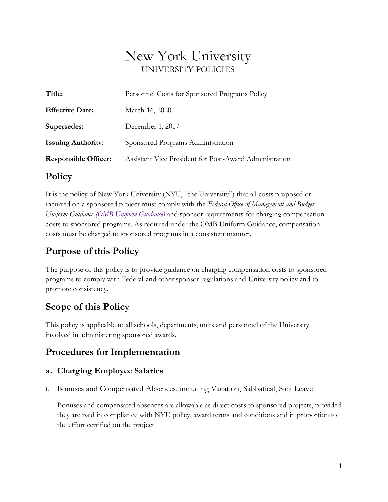# New York University UNIVERSITY POLICIES

| Title:                      | Personnel Costs for Sponsored Programs Policy          |
|-----------------------------|--------------------------------------------------------|
| <b>Effective Date:</b>      | March 16, 2020                                         |
| Supersedes:                 | December 1, 2017                                       |
| <b>Issuing Authority:</b>   | Sponsored Programs Administration                      |
| <b>Responsible Officer:</b> | Assistant Vice President for Post-Award Administration |

### **Policy**

It is the policy of New York University (NYU, "the University") that all costs proposed or incurred on a sponsored project must comply with the *Federal Office of Management and Budget Uniform Guidance (OMB Uniform Guidance)* and sponsor requirements for charging compensation costs to sponsored programs. As required under the OMB Uniform Guidance, compensation costs must be charged to sponsored programs in a consistent manner.

# **Purpose of this Policy**

The purpose of this policy is to provide guidance on charging compensation costs to sponsored programs to comply with Federal and other sponsor regulations and University policy and to promote consistency.

# **Scope of this Policy**

This policy is applicable to all schools, departments, units and personnel of the University involved in administering sponsored awards.

# **Procedures for Implementation**

### **a. Charging Employee Salaries**

i. Bonuses and Compensated Absences, including Vacation, Sabbatical, Sick Leave

Bonuses and compensated absences are allowable as direct costs to sponsored projects, provided they are paid in compliance with NYU policy, award terms and conditions and in proportion to the effort certified on the project.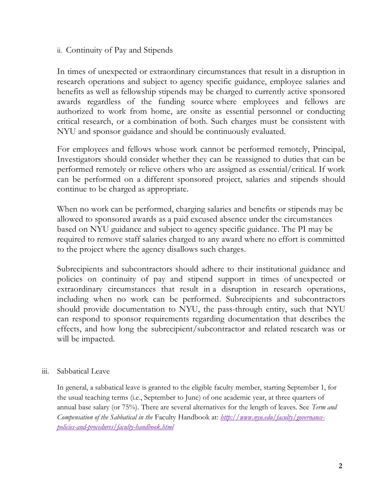### ii. Continuity of Pay and Stipends

In times of unexpected or extraordinary circumstances that result in a disruption in research operations and subject to agency specific guidance, employee salaries and benefits as well as fellowship stipends may be charged to currently active sponsored awards regardless of the funding source where employees and fellows are authorized to work from home, are onsite as essential personnel or conducting critical research, or a combination of both. Such charges must be consistent with NYU and sponsor guidance and should be continuously evaluated.

For employees and fellows whose work cannot be performed remotely, Principal, Investigators should consider whether they can be reassigned to duties that can be performed remotely or relieve others who are assigned as essential/critical. If work can be performed on a different sponsored project, salaries and stipends should continue to be charged as appropriate.

When no work can be performed, charging salaries and benefits or stipends may be allowed to sponsored awards as a paid excused absence under the circumstances based on NYU guidance and subject to agency specific guidance. The PI may be required to remove staff salaries charged to any award where no effort is committed to the project where the agency disallows such charges.

Subrecipients and subcontractors should adhere to their institutional guidance and policies on continuity of pay and stipend support in times of unexpected or extraordinary circumstances that result in a disruption in research operations, including when no work can be performed. Subrecipients and subcontractors should provide documentation to NYU, the pass-through entity, such that NYU can respond to sponsor requirements regarding documentation that describes the effects, and how long the subrecipient/subcontractor and related research was or will be impacted.

#### iii. Sabbatical Leave

In general, a sabbatical leave is granted to the eligible faculty member, starting September 1, for the usual teaching terms (i.e., September to June) of one academic year, at three quarters of annual base salary (or 75%). There are several alternatives for the length of leaves. See *Term and Compensation of the Sabbatical in the* Faculty Handbook at: *[http://www.nyu.edu/faculty/governance](http://www.nyu.edu/faculty/governance-policies-and-procedures/faculty-handbook.html)[policies-and-procedures/faculty-handbook.html](http://www.nyu.edu/faculty/governance-policies-and-procedures/faculty-handbook.html)*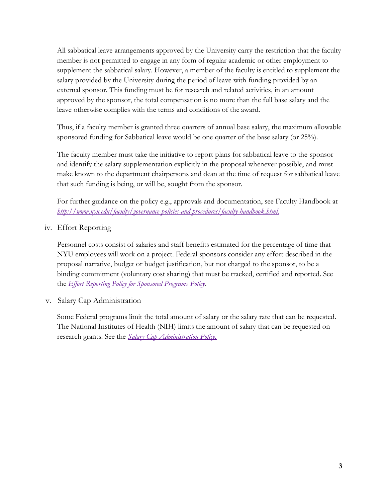All sabbatical leave arrangements approved by the University carry the restriction that the faculty member is not permitted to engage in any form of regular academic or other employment to supplement the sabbatical salary. However, a member of the faculty is entitled to supplement the salary provided by the University during the period of leave with funding provided by an external sponsor. This funding must be for research and related activities, in an amount approved by the sponsor, the total compensation is no more than the full base salary and the leave otherwise complies with the terms and conditions of the award.

Thus, if a faculty member is granted three quarters of annual base salary, the maximum allowable sponsored funding for Sabbatical leave would be one quarter of the base salary (or 25%).

The faculty member must take the initiative to report plans for sabbatical leave to the sponsor and identify the salary supplementation explicitly in the proposal whenever possible, and must make known to the department chairpersons and dean at the time of request for sabbatical leave that such funding is being, or will be, sought from the sponsor.

For further guidance on the policy e.g., approvals and documentation, see Faculty Handbook at *[http://www.nyu.edu/faculty/governance-policies-and-procedures/faculty-handbook.html.](http://www.nyu.edu/faculty/governance-policies-and-procedures/faculty-handbook.html)*

#### iv. Effort Reporting

Personnel costs consist of salaries and staff benefits estimated for the percentage of time that NYU employees will work on a project. Federal sponsors consider any effort described in the proposal narrative, budget or budget justification, but not charged to the sponsor, to be a binding commitment (voluntary cost sharing) that must be tracked, certified and reported. See the *[Effort Reporting Policy for Sponsored Programs P](http://www.nyu.edu/about/policies-guidelines-compliance/policies-and-guidelines/effort-reporting-policy-for-sponsored-programs.html)olicy*.

v. Salary Cap Administration

Some Federal programs limit the total amount of salary or the salary rate that can be requested. The National Institutes of Health (NIH) limits the amount of salary that can be requested on research grants. See the *[Salary Cap Administration Policy.](http://www.nyu.edu/about/policies-guidelines-compliance/policies-and-guidelines/salary-cap-administration-policy.html)*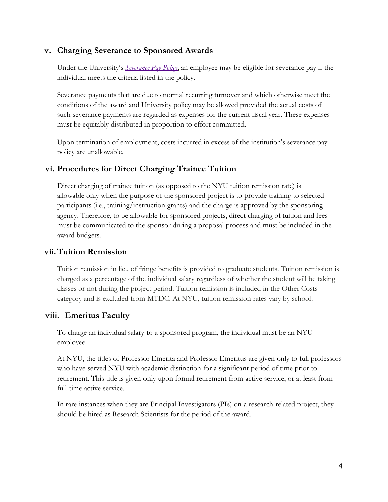#### **v. Charging Severance to Sponsored Awards**

Under the University's *[Severance Pay Policy](http://www.nyu.edu/about/policies-guidelines-compliance/policies-and-guidelines/severance-pay-policy.html)*, an employee may be eligible for severance pay if the individual meets the criteria listed in the policy.

Severance payments that are due to normal recurring turnover and which otherwise meet the conditions of the award and University policy may be allowed provided the actual costs of such severance payments are regarded as expenses for the current fiscal year. These expenses must be equitably distributed in proportion to effort committed.

Upon termination of employment, costs incurred in excess of the institution's severance pay policy are unallowable.

### **vi. Procedures for Direct Charging Trainee Tuition**

Direct charging of trainee tuition (as opposed to the NYU tuition remission rate) is allowable only when the purpose of the sponsored project is to provide training to selected participants (i.e., training/instruction grants) and the charge is approved by the sponsoring agency. Therefore, to be allowable for sponsored projects, direct charging of tuition and fees must be communicated to the sponsor during a proposal process and must be included in the award budgets.

#### **vii.Tuition Remission**

Tuition remission in lieu of fringe benefits is provided to graduate students. Tuition remission is charged as a percentage of the individual salary regardless of whether the student will be taking classes or not during the project period. Tuition remission is included in the Other Costs category and is excluded from MTDC. At NYU, tuition remission rates vary by school.

#### **viii. Emeritus Faculty**

To charge an individual salary to a sponsored program, the individual must be an NYU employee.

At NYU, the titles of Professor Emerita and Professor Emeritus are given only to full professors who have served NYU with academic distinction for a significant period of time prior to retirement. This title is given only upon formal retirement from active service, or at least from full-time active service.

In rare instances when they are Principal Investigators (PIs) on a research-related project, they should be hired as Research Scientists for the period of the award.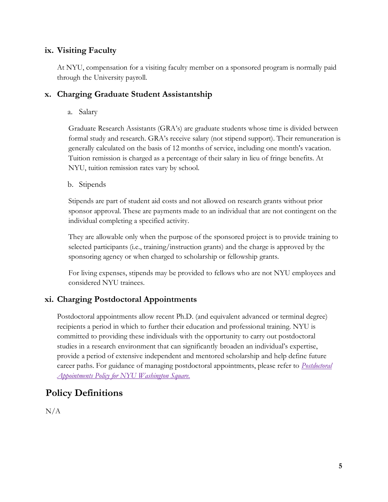### **ix. Visiting Faculty**

At NYU, compensation for a visiting faculty member on a sponsored program is normally paid through the University payroll.

### **x. Charging Graduate Student Assistantship**

a. Salary

Graduate Research Assistants (GRA's) are graduate students whose time is divided between formal study and research. GRA's receive salary (not stipend support). Their remuneration is generally calculated on the basis of 12 months of service, including one month's vacation. Tuition remission is charged as a percentage of their salary in lieu of fringe benefits. At NYU, tuition remission rates vary by school.

#### b. Stipends

Stipends are part of student aid costs and not allowed on research grants without prior sponsor approval. These are payments made to an individual that are not contingent on the individual completing a specified activity.

They are allowable only when the purpose of the sponsored project is to provide training to selected participants (i.e., training/instruction grants) and the charge is approved by the sponsoring agency or when charged to scholarship or fellowship grants.

For living expenses, stipends may be provided to fellows who are not NYU employees and considered NYU trainees.

### **xi. Charging Postdoctoral Appointments**

Postdoctoral appointments allow recent Ph.D. (and equivalent advanced or terminal degree) recipients a period in which to further their education and professional training. NYU is committed to providing these individuals with the opportunity to carry out postdoctoral studies in a research environment that can significantly broaden an individual's expertise, provide a period of extensive independent and mentored scholarship and help define future career paths. For guidance of managing postdoctoral appointments, please refer to *[Postdoctoral](http://www.nyu.edu/about/policies-guidelines-compliance/policies-and-guidelines/postdoctoral-appointments-policy-for-nyu-washington-square.html) [Appointments Policy for NYU Washington Square.](http://www.nyu.edu/about/policies-guidelines-compliance/policies-and-guidelines/postdoctoral-appointments-policy-for-nyu-washington-square.html)*

# **Policy Definitions**

 $N/A$